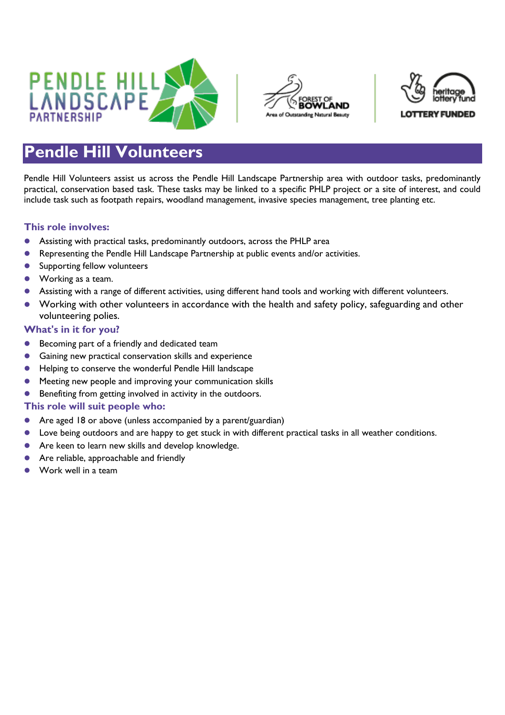





## **Pendle Hill Volunteers**

Pendle Hill Volunteers assist us across the Pendle Hill Landscape Partnership area with outdoor tasks, predominantly practical, conservation based task. These tasks may be linked to a specific PHLP project or a site of interest, and could include task such as footpath repairs, woodland management, invasive species management, tree planting etc.

## **This role involves:**

- Assisting with practical tasks, predominantly outdoors, across the PHLP area
- Representing the Pendle Hill Landscape Partnership at public events and/or activities.
- **Supporting fellow volunteers**
- Working as a team.
- Assisting with a range of different activities, using different hand tools and working with different volunteers.
- Working with other volunteers in accordance with the health and safety policy, safeguarding and other volunteering polies.

## **What's in it for you?**

- **Becoming part of a friendly and dedicated team**
- Gaining new practical conservation skills and experience
- Helping to conserve the wonderful Pendle Hill landscape
- Meeting new people and improving your communication skills
- **Benefiting from getting involved in activity in the outdoors.**

## **This role will suit people who:**

- Are aged 18 or above (unless accompanied by a parent/guardian)
- Love being outdoors and are happy to get stuck in with different practical tasks in all weather conditions.
- Are keen to learn new skills and develop knowledge.
- Are reliable, approachable and friendly
- Work well in a team